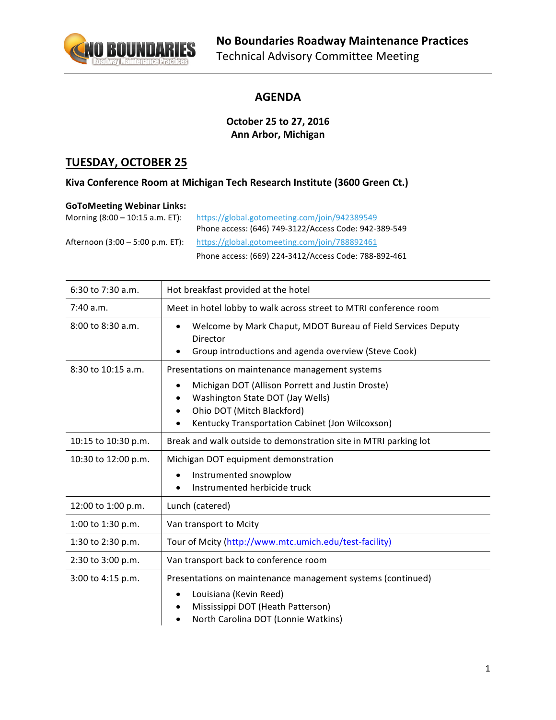

#### **AGENDA**

#### **October 25 to 27, 2016 Ann Arbor, Michigan**

## **TUESDAY, OCTOBER 25**

#### Kiva Conference Room at Michigan Tech Research Institute (3600 Green Ct.)

#### **GoToMeeting Webinar Links:**

| Morning $(8:00 - 10:15$ a.m. ET): | https://global.gotomeeting.com/join/942389549         |
|-----------------------------------|-------------------------------------------------------|
|                                   | Phone access: (646) 749-3122/Access Code: 942-389-549 |
| Afternoon (3:00 – 5:00 p.m. ET):  | https://global.gotomeeting.com/join/788892461         |
|                                   | Phone access: (669) 224-3412/Access Code: 788-892-461 |

| $6:30$ to $7:30$ a.m. | Hot breakfast provided at the hotel                                                                                              |  |
|-----------------------|----------------------------------------------------------------------------------------------------------------------------------|--|
| 7:40 a.m.             | Meet in hotel lobby to walk across street to MTRI conference room                                                                |  |
| $8:00$ to $8:30$ a.m. | Welcome by Mark Chaput, MDOT Bureau of Field Services Deputy<br>Director<br>Group introductions and agenda overview (Steve Cook) |  |
| 8:30 to 10:15 a.m.    | Presentations on maintenance management systems                                                                                  |  |
|                       | Michigan DOT (Allison Porrett and Justin Droste)<br>$\bullet$                                                                    |  |
|                       | Washington State DOT (Jay Wells)<br>Ohio DOT (Mitch Blackford)<br>$\bullet$                                                      |  |
|                       | Kentucky Transportation Cabinet (Jon Wilcoxson)                                                                                  |  |
| 10:15 to 10:30 p.m.   | Break and walk outside to demonstration site in MTRI parking lot                                                                 |  |
| 10:30 to 12:00 p.m.   | Michigan DOT equipment demonstration                                                                                             |  |
|                       | Instrumented snowplow                                                                                                            |  |
|                       | Instrumented herbicide truck                                                                                                     |  |
| 12:00 to 1:00 p.m.    | Lunch (catered)                                                                                                                  |  |
| 1:00 to 1:30 p.m.     | Van transport to Mcity                                                                                                           |  |
| 1:30 to 2:30 p.m.     | Tour of Mcity (http://www.mtc.umich.edu/test-facility)                                                                           |  |
| 2:30 to 3:00 p.m.     | Van transport back to conference room                                                                                            |  |
| 3:00 to 4:15 p.m.     | Presentations on maintenance management systems (continued)                                                                      |  |
|                       | Louisiana (Kevin Reed)<br>$\bullet$                                                                                              |  |
|                       | Mississippi DOT (Heath Patterson)                                                                                                |  |
|                       | North Carolina DOT (Lonnie Watkins)                                                                                              |  |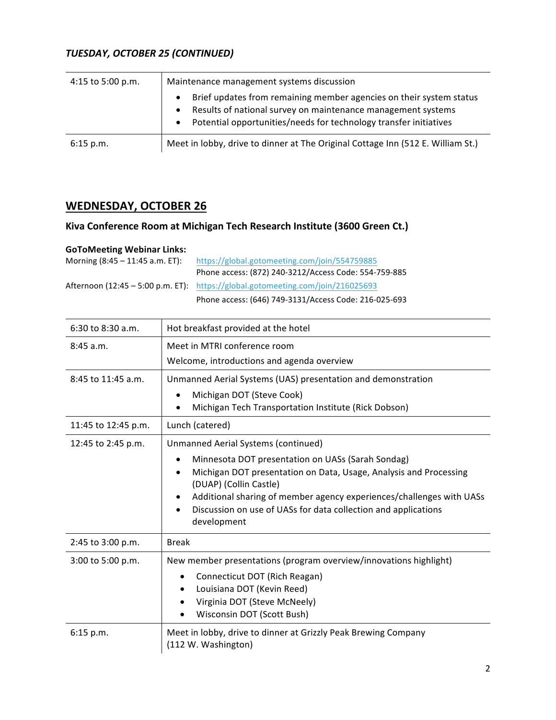## *TUESDAY, OCTOBER 25 (CONTINUED)*

| 4:15 to 5:00 p.m. | Maintenance management systems discussion                                                                                                                                                                                                       |  |
|-------------------|-------------------------------------------------------------------------------------------------------------------------------------------------------------------------------------------------------------------------------------------------|--|
|                   | Brief updates from remaining member agencies on their system status<br>$\bullet$<br>Results of national survey on maintenance management systems<br>$\bullet$<br>Potential opportunities/needs for technology transfer initiatives<br>$\bullet$ |  |
| 6:15 p.m.         | Meet in lobby, drive to dinner at The Original Cottage Inn (512 E. William St.)                                                                                                                                                                 |  |

## **WEDNESDAY, OCTOBER 26**

## **Kiva Conference Room at Michigan Tech Research Institute (3600 Green Ct.)**

#### **GoToMeeting Webinar Links:**

| Morning $(8:45 - 11:45 a.m. ET)$ : | https://global.gotomeeting.com/join/554759885                                   |
|------------------------------------|---------------------------------------------------------------------------------|
|                                    | Phone access: (872) 240-3212/Access Code: 554-759-885                           |
|                                    | Afternoon (12:45 – 5:00 p.m. ET): https://global.gotomeeting.com/join/216025693 |
|                                    | Phone access: (646) 749-3131/Access Code: 216-025-693                           |

| $6:30$ to $8:30$ a.m.  | Hot breakfast provided at the hotel                                                              |
|------------------------|--------------------------------------------------------------------------------------------------|
| 8:45a.m.               | Meet in MTRI conference room                                                                     |
|                        | Welcome, introductions and agenda overview                                                       |
| $8:45$ to $11:45$ a.m. | Unmanned Aerial Systems (UAS) presentation and demonstration                                     |
|                        | Michigan DOT (Steve Cook)<br>$\bullet$                                                           |
|                        | Michigan Tech Transportation Institute (Rick Dobson)                                             |
| 11:45 to 12:45 p.m.    | Lunch (catered)                                                                                  |
| 12:45 to 2:45 p.m.     | Unmanned Aerial Systems (continued)                                                              |
|                        | Minnesota DOT presentation on UASs (Sarah Sondag)                                                |
|                        | Michigan DOT presentation on Data, Usage, Analysis and Processing<br>٠<br>(DUAP) (Collin Castle) |
|                        | Additional sharing of member agency experiences/challenges with UASs                             |
|                        | Discussion on use of UASs for data collection and applications                                   |
|                        | development                                                                                      |
| 2:45 to 3:00 p.m.      | <b>Break</b>                                                                                     |
| 3:00 to 5:00 p.m.      | New member presentations (program overview/innovations highlight)                                |
|                        | Connecticut DOT (Rich Reagan)<br>٠                                                               |
|                        | Louisiana DOT (Kevin Reed)<br>$\bullet$                                                          |
|                        | Virginia DOT (Steve McNeely)                                                                     |
|                        | Wisconsin DOT (Scott Bush)                                                                       |
| 6:15 p.m.              | Meet in lobby, drive to dinner at Grizzly Peak Brewing Company<br>(112 W. Washington)            |